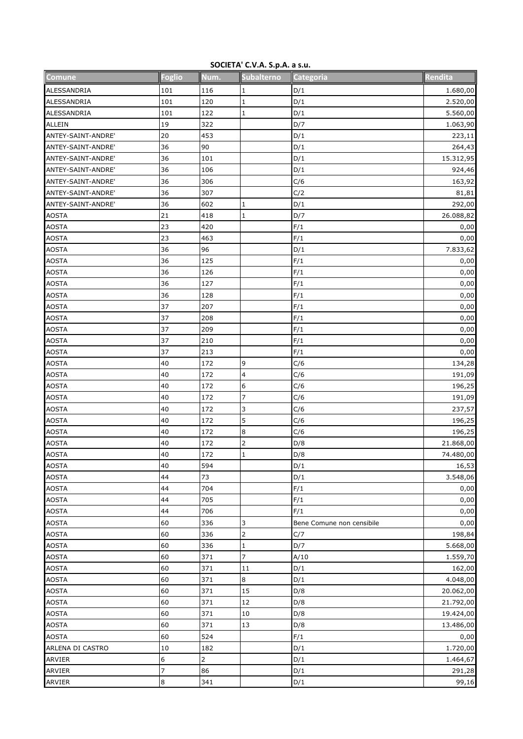## **SOCIETA' C.V.A. S.p.A. a s.u.**

| Comune                       | <b>Foglio</b> | Num.           | <b>Subalterno</b>       | Categoria                 | Rendita        |
|------------------------------|---------------|----------------|-------------------------|---------------------------|----------------|
| ALESSANDRIA                  | 101           | 116            | 1                       | D/1                       | 1.680,00       |
| ALESSANDRIA                  | 101           | 120            | $\mathbf 1$             | D/1                       | 2.520,00       |
| ALESSANDRIA                  | 101           | 122            | $\mathbf{1}$            | D/1                       | 5.560,00       |
| <b>ALLEIN</b>                | 19            | 322            |                         | D/7                       | 1.063,90       |
| ANTEY-SAINT-ANDRE'           | 20            | 453            |                         | D/1                       | 223,11         |
| ANTEY-SAINT-ANDRE'           | 36            | 90             |                         | D/1                       | 264,43         |
| ANTEY-SAINT-ANDRE'           | 36            | 101            |                         | D/1                       | 15.312,95      |
| ANTEY-SAINT-ANDRE'           | 36            | 106            |                         | D/1                       | 924,46         |
| ANTEY-SAINT-ANDRE'           | 36            | 306            |                         | C/6                       | 163,92         |
| ANTEY-SAINT-ANDRE'           | 36            | 307            |                         | C/2                       | 81,81          |
| ANTEY-SAINT-ANDRE'           | 36            | 602            | 1                       | D/1                       | 292,00         |
| <b>AOSTA</b>                 | 21            | 418            | $\mathbf 1$             | D/7                       | 26.088,82      |
| <b>AOSTA</b>                 | 23            | 420            |                         | F/1                       | 0,00           |
| <b>AOSTA</b>                 | 23            | 463            |                         | F/1                       | 0,00           |
| <b>AOSTA</b>                 | 36            | 96             |                         | D/1                       | 7.833,62       |
| <b>AOSTA</b>                 | 36            | 125            |                         | F/1                       | 0,00           |
| <b>AOSTA</b>                 | 36            | 126            |                         | F/1                       | 0,00           |
| <b>AOSTA</b>                 | 36            | 127            |                         | F/1                       | 0,00           |
| <b>AOSTA</b>                 | 36            | 128            |                         | F/1                       | 0,00           |
| <b>AOSTA</b>                 | 37            | 207            |                         | F/1                       | 0,00           |
| <b>AOSTA</b>                 | 37            | 208            |                         | F/1                       | 0,00           |
| <b>AOSTA</b>                 | 37            | 209            |                         | F/1                       | 0,00           |
| <b>AOSTA</b>                 | 37            | 210            |                         | F/1                       | 0,00           |
| <b>AOSTA</b>                 | 37            | 213            |                         | F/1                       | 0,00           |
| <b>AOSTA</b>                 | 40            | 172            | 9                       | C/6                       | 134,28         |
| <b>AOSTA</b>                 | 40            | 172            | 4                       | C/6                       | 191,09         |
| <b>AOSTA</b>                 | 40            | 172            | 6                       | C/6                       | 196,25         |
| <b>AOSTA</b>                 | 40            | 172            | 7                       | C/6                       | 191,09         |
| <b>AOSTA</b>                 | 40            | 172            | 3                       | C/6                       | 237,57         |
| <b>AOSTA</b>                 | 40            | 172            | 5                       | C/6                       | 196,25         |
| <b>AOSTA</b>                 | 40            | 172            | 8                       | C/6                       | 196,25         |
| <b>AOSTA</b>                 | 40            | 172            | $\overline{\mathbf{c}}$ | D/8                       | 21.868,00      |
| <b>AOSTA</b>                 | 40            | 172            | $\mathbf{1}$            | D/8                       | 74.480,00      |
|                              | 40            | 594            |                         | D/1                       | 16,53          |
| <b>AOSTA</b><br><b>AOSTA</b> | 44            | 73             |                         | D/1                       | 3.548,06       |
| <b>AOSTA</b>                 | 44            | 704            |                         | F/1                       |                |
| <b>AOSTA</b>                 | 44            | 705            |                         | F/1                       | 0,00<br>0,00   |
| <b>AOSTA</b>                 | 44            | 706            |                         | F/1                       | 0,00           |
| <b>AOSTA</b>                 | 60            | 336            |                         | Bene Comune non censibile |                |
| <b>AOSTA</b>                 | 60            | 336            | 3<br>$\overline{2}$     |                           | 0,00<br>198,84 |
|                              | 60            | 336            |                         | C/7<br>D/7                |                |
| <b>AOSTA</b>                 | 60            | 371            | 1<br>$\overline{7}$     | A/10                      | 5.668,00       |
| <b>AOSTA</b>                 | 60            | 371            |                         |                           | 1.559,70       |
| <b>AOSTA</b>                 | 60            | 371            | 11<br>8                 | D/1<br>D/1                | 162,00         |
| <b>AOSTA</b>                 | 60            |                | 15                      | D/8                       | 4.048,00       |
| <b>AOSTA</b>                 |               | 371            | 12                      |                           | 20.062,00      |
| <b>AOSTA</b>                 | 60            | 371            |                         | D/8                       | 21.792,00      |
| <b>AOSTA</b>                 | 60            | 371            | 10                      | D/8                       | 19.424,00      |
| <b>AOSTA</b>                 | 60            | 371            | 13                      | D/8                       | 13.486,00      |
| <b>AOSTA</b>                 | 60            | 524            |                         | F/1                       | 0,00           |
| ARLENA DI CASTRO             | 10            | 182            |                         | D/1                       | 1.720,00       |
| ARVIER                       | 6             | $\overline{2}$ |                         | D/1                       | 1.464,67       |
| ARVIER                       | 7             | 86             |                         | D/1                       | 291,28         |
| ARVIER                       | 8             | 341            |                         | D/1                       | 99,16          |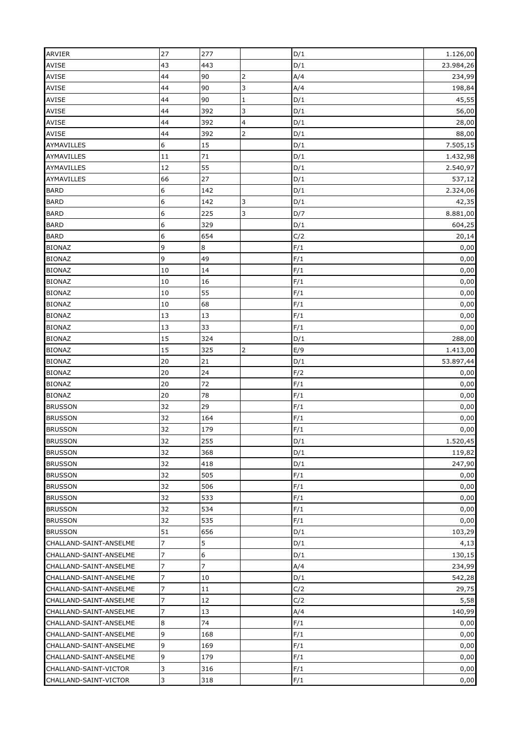| <b>ARVIER</b>          | 27 | 277            |                | D/1 | 1.126,00  |
|------------------------|----|----------------|----------------|-----|-----------|
| <b>AVISE</b>           | 43 | 443            |                | D/1 | 23.984,26 |
| AVISE                  | 44 | 90             | $\overline{2}$ | A/4 | 234,99    |
| AVISE                  | 44 | 90             | 3              | A/4 | 198,84    |
| AVISE                  | 44 | 90             | $\mathbf 1$    | D/1 | 45,55     |
| AVISE                  | 44 | 392            | 3              | D/1 | 56,00     |
| AVISE                  | 44 | 392            | 4              | D/1 | 28,00     |
| <b>AVISE</b>           | 44 | 392            | $\overline{2}$ | D/1 | 88,00     |
| AYMAVILLES             | 6  | 15             |                | D/1 | 7.505,15  |
| AYMAVILLES             | 11 | 71             |                | D/1 | 1.432,98  |
| AYMAVILLES             | 12 | 55             |                | D/1 | 2.540,97  |
| AYMAVILLES             | 66 | 27             |                | D/1 | 537,12    |
| <b>BARD</b>            | 6  | 142            |                | D/1 | 2.324,06  |
| <b>BARD</b>            | 6  | 142            | 3              | D/1 | 42,35     |
| <b>BARD</b>            | 6  | 225            | $\overline{3}$ | D/7 | 8.881,00  |
| <b>BARD</b>            | 6  | 329            |                | D/1 | 604,25    |
| <b>BARD</b>            | 6  | 654            |                | C/2 | 20,14     |
| <b>BIONAZ</b>          | 9  | 8              |                | F/1 | 0,00      |
| <b>BIONAZ</b>          | 9  | 49             |                | F/1 | 0,00      |
| <b>BIONAZ</b>          | 10 | 14             |                | F/1 | 0,00      |
| <b>BIONAZ</b>          | 10 | 16             |                | F/1 | 0,00      |
| <b>BIONAZ</b>          | 10 | 55             |                | F/1 | 0,00      |
| <b>BIONAZ</b>          | 10 | 68             |                | F/1 | 0,00      |
| <b>BIONAZ</b>          | 13 | 13             |                |     |           |
|                        |    |                |                | F/1 | 0,00      |
| <b>BIONAZ</b>          | 13 | 33<br>324      |                | F/1 | 0,00      |
| <b>BIONAZ</b>          | 15 |                |                | D/1 | 288,00    |
| <b>BIONAZ</b>          | 15 | 325            | $\overline{2}$ | E/9 | 1.413,00  |
| <b>BIONAZ</b>          | 20 | 21             |                | D/1 | 53.897,44 |
| <b>BIONAZ</b>          | 20 | 24             |                | F/2 | 0,00      |
| <b>BIONAZ</b>          | 20 | 72             |                | F/1 | 0,00      |
| <b>BIONAZ</b>          | 20 | 78             |                | F/1 | 0,00      |
| <b>BRUSSON</b>         | 32 | 29             |                | F/1 | 0,00      |
| <b>BRUSSON</b>         | 32 | 164            |                | F/1 | 0,00      |
| <b>BRUSSON</b>         | 32 | 179            |                | F/1 | 0,00      |
| <b>BRUSSON</b>         | 32 | 255            |                | D/1 | 1.520,45  |
| <b>BRUSSON</b>         | 32 | 368            |                | D/1 | 119,82    |
| <b>BRUSSON</b>         | 32 | 418            |                | D/1 | 247,90    |
| <b>BRUSSON</b>         | 32 | 505            |                | F/1 | 0,00      |
| <b>BRUSSON</b>         | 32 | 506            |                | F/1 | 0,00      |
| <b>BRUSSON</b>         | 32 | 533            |                | F/1 | 0,00      |
| <b>BRUSSON</b>         | 32 | 534            |                | F/1 | 0,00      |
| <b>BRUSSON</b>         | 32 | 535            |                | F/1 | 0,00      |
| <b>BRUSSON</b>         | 51 | 656            |                | D/1 | 103,29    |
| CHALLAND-SAINT-ANSELME | 7  | 5              |                | D/1 | 4,13      |
| CHALLAND-SAINT-ANSELME | 7  | 6              |                | D/1 | 130,15    |
| CHALLAND-SAINT-ANSELME | 7  | $\overline{z}$ |                | A/4 | 234,99    |
| CHALLAND-SAINT-ANSELME | 7  | 10             |                | D/1 | 542,28    |
| CHALLAND-SAINT-ANSELME | 7  | 11             |                | C/2 | 29,75     |
| CHALLAND-SAINT-ANSELME | 7  | 12             |                | C/2 | 5,58      |
| CHALLAND-SAINT-ANSELME | 7  | 13             |                | A/4 | 140,99    |
| CHALLAND-SAINT-ANSELME | 8  | 74             |                | F/1 | 0,00      |
| CHALLAND-SAINT-ANSELME | 9  | 168            |                | F/1 | 0,00      |
| CHALLAND-SAINT-ANSELME | 9  | 169            |                | F/1 | 0,00      |
| CHALLAND-SAINT-ANSELME | 9  | 179            |                | F/1 | 0,00      |
| CHALLAND-SAINT-VICTOR  | 3  | 316            |                | F/1 | 0,00      |
| CHALLAND-SAINT-VICTOR  | 3  | 318            |                | F/1 | 0,00      |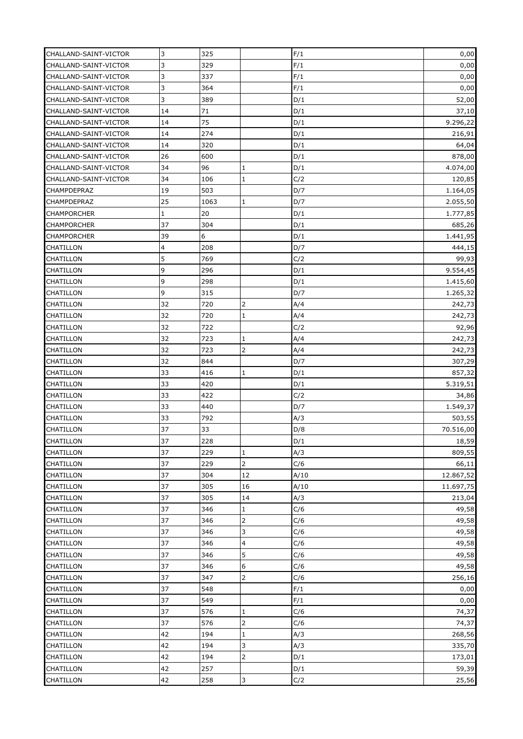| CHALLAND-SAINT-VICTOR  | 3        | 325        |                                | F/1        | 0,00              |
|------------------------|----------|------------|--------------------------------|------------|-------------------|
| CHALLAND-SAINT-VICTOR  | 3        | 329        |                                | F/1        | 0,00              |
| CHALLAND-SAINT-VICTOR  | 3        | 337        |                                | F/1        | 0,00              |
| CHALLAND-SAINT-VICTOR  | 3        | 364        |                                | F/1        | 0,00              |
| CHALLAND-SAINT-VICTOR  | 3        | 389        |                                | D/1        | 52,00             |
| CHALLAND-SAINT-VICTOR  | 14       | 71         |                                | D/1        | 37,10             |
| CHALLAND-SAINT-VICTOR  | 14       | 75         |                                | D/1        | 9.296,22          |
| CHALLAND-SAINT-VICTOR  | 14       | 274        |                                | D/1        | 216,91            |
| CHALLAND-SAINT-VICTOR  | 14       | 320        |                                | D/1        | 64,04             |
| CHALLAND-SAINT-VICTOR  | 26       | 600        |                                | D/1        | 878,00            |
| CHALLAND-SAINT-VICTOR  | 34       | 96         | $\mathbf{1}$                   | D/1        | 4.074,00          |
| CHALLAND-SAINT-VICTOR  | 34       | 106        | $\mathbf{1}$                   | C/2        | 120,85            |
| CHAMPDEPRAZ            | 19       | 503        |                                | D/7        | 1.164,05          |
| CHAMPDEPRAZ            | 25       | 1063       | $\mathbf{1}$                   | D/7        | 2.055,50          |
| <b>CHAMPORCHER</b>     | 1        | 20         |                                | D/1        | 1.777,85          |
| <b>CHAMPORCHER</b>     | 37       | 304        |                                | D/1        | 685,26            |
| <b>CHAMPORCHER</b>     | 39       | 6          |                                | D/1        | 1.441,95          |
| CHATILLON              | 4        | 208        |                                | D/7        | 444,15            |
| CHATILLON              | 5        | 769        |                                | C/2        | 99,93             |
| CHATILLON              | 9        | 296        |                                | D/1        | 9.554,45          |
| CHATILLON              | 9        | 298        |                                | D/1        | 1.415,60          |
| CHATILLON              | 9        | 315        |                                | D/7        | 1.265,32          |
| CHATILLON              | 32       | 720        | $\overline{2}$                 | A/4        | 242,73            |
|                        | 32       | 720        | $\mathbf{1}$                   | A/4        |                   |
| CHATILLON<br>CHATILLON | 32       | 722        |                                | C/2        | 242,73            |
| CHATILLON              | 32       | 723        | $\mathbf{1}$                   | A/4        | 92,96<br>242,73   |
|                        | 32       | 723        | $\overline{2}$                 | A/4        |                   |
| CHATILLON<br>CHATILLON | 32       | 844        |                                | D/7        | 242,73            |
| CHATILLON              | 33       | 416        | $\mathbf{1}$                   | D/1        | 307,29<br>857,32  |
| <b>CHATILLON</b>       | 33       | 420        |                                | D/1        |                   |
|                        | 33       | 422        |                                | C/2        | 5.319,51          |
| CHATILLON<br>CHATILLON | 33       | 440        |                                | D/7        | 34,86<br>1.549,37 |
| CHATILLON              | 33       | 792        |                                | A/3        | 503,55            |
| CHATILLON              | 37       | 33         |                                | D/8        | 70.516,00         |
| CHATILLON              | 37       | 228        |                                | D/1        | 18,59             |
|                        | 37       |            |                                |            |                   |
| <b>CHATILLON</b>       | 37       | 229        | $\mathbf{1}$<br>$\overline{2}$ | A/3        | 809,55<br>66,11   |
| <b>CHATILLON</b>       |          | 229        |                                | C/6        |                   |
| CHATILLON              | 37       | 304        | 12                             | A/10       | 12.867,52         |
| <b>CHATILLON</b>       | 37       | 305        | 16                             | A/10       | 11.697,75         |
| <b>CHATILLON</b>       | 37       | 305        | 14                             | A/3        | 213,04            |
| <b>CHATILLON</b>       | 37<br>37 | 346<br>346 | $\mathbf{1}$<br>$\overline{2}$ | C/6<br>C/6 | 49,58             |
| <b>CHATILLON</b>       | 37       | 346        | 3                              | C/6        | 49,58             |
| CHATILLON              | 37       | 346        |                                | C/6        | 49,58             |
| CHATILLON              |          |            | $\overline{a}$<br>5            |            | 49,58             |
| CHATILLON              | 37       | 346        |                                | C/6        | 49,58             |
| <b>CHATILLON</b>       | 37       | 346        | 6                              | C/6        | 49,58             |
| <b>CHATILLON</b>       | 37       | 347        | $\overline{2}$                 | C/6        | 256,16            |
| <b>CHATILLON</b>       | 37<br>37 | 548<br>549 |                                | F/1<br>F/1 | 0,00              |
| CHATILLON              |          |            |                                |            | 0,00              |
| CHATILLON              | 37       | 576        | $\mathbf{1}$                   | C/6        | 74,37             |
| CHATILLON              | 37       | 576        | $\overline{2}$                 | C/6        | 74,37             |
| <b>CHATILLON</b>       | 42       | 194        | $\mathbf{1}$                   | A/3        | 268,56            |
| CHATILLON              | 42       | 194        | 3                              | A/3        | 335,70            |
| CHATILLON              | 42       | 194        | $\overline{2}$                 | D/1        | 173,01            |
| CHATILLON              | 42       | 257        |                                | D/1        | 59,39             |
| CHATILLON              | 42       | 258        | 3                              | C/2        | 25,56             |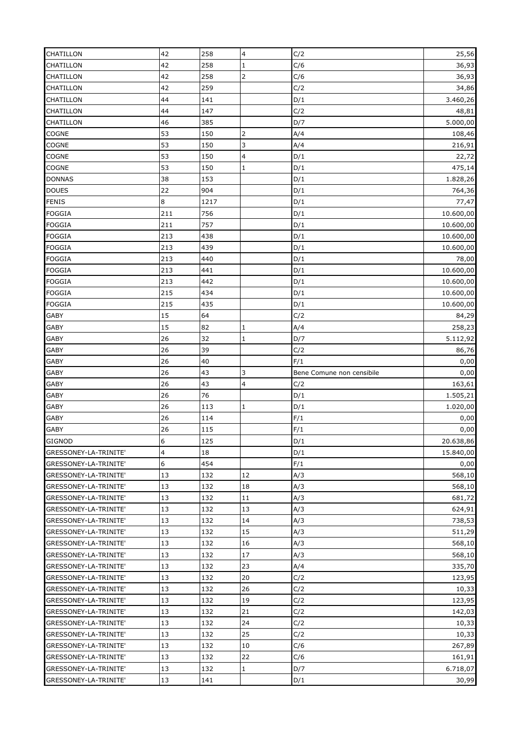| <b>CHATILLON</b>                               | 42       | 258        | 4              | C/2                       | 25,56             |
|------------------------------------------------|----------|------------|----------------|---------------------------|-------------------|
| CHATILLON                                      | 42       | 258        | $\mathbf 1$    | C/6                       | 36,93             |
| <b>CHATILLON</b>                               | 42       | 258        | $\overline{2}$ | C/6                       | 36,93             |
| CHATILLON                                      | 42       | 259        |                | C/2                       | 34,86             |
| CHATILLON                                      | 44       | 141        |                | D/1                       | 3.460,26          |
| CHATILLON                                      | 44       | 147        |                | C/2                       | 48,81             |
| CHATILLON                                      | 46       | 385        |                | D/7                       | 5.000,00          |
| <b>COGNE</b>                                   | 53       | 150        | $\overline{2}$ | A/4                       | 108,46            |
| <b>COGNE</b>                                   | 53       | 150        | $\overline{3}$ | A/4                       | 216,91            |
| <b>COGNE</b>                                   | 53       | 150        | 4              | D/1                       | 22,72             |
| <b>COGNE</b>                                   | 53       | 150        | $\mathbf{1}$   | D/1                       | 475,14            |
| <b>DONNAS</b>                                  | 38       | 153        |                | D/1                       | 1.828,26          |
| <b>DOUES</b>                                   | 22       | 904        |                | D/1                       | 764,36            |
| <b>FENIS</b>                                   | 8        | 1217       |                | D/1                       | 77,47             |
| <b>FOGGIA</b>                                  | 211      | 756        |                | D/1                       | 10.600,00         |
| <b>FOGGIA</b>                                  | 211      | 757        |                | D/1                       | 10.600,00         |
| <b>FOGGIA</b>                                  | 213      | 438        |                | D/1                       | 10.600,00         |
| <b>FOGGIA</b>                                  | 213      | 439        |                | D/1                       | 10.600,00         |
| <b>FOGGIA</b>                                  | 213      | 440        |                | D/1                       | 78,00             |
| <b>FOGGIA</b>                                  | 213      | 441        |                | D/1                       | 10.600,00         |
| <b>FOGGIA</b>                                  | 213      | 442        |                | D/1                       | 10.600,00         |
| <b>FOGGIA</b>                                  | 215      | 434        |                | D/1                       | 10.600,00         |
| <b>FOGGIA</b>                                  | 215      | 435        |                | D/1                       | 10.600,00         |
|                                                | 15       | 64         |                | C/2                       |                   |
| GABY<br>GABY                                   | 15       | 82         | 1              | A/4                       | 84,29             |
| <b>GABY</b>                                    | 26       | 32         | $\mathbf 1$    | D/7                       | 258,23            |
| <b>GABY</b>                                    | 26       | 39         |                | C/2                       | 5.112,92<br>86,76 |
|                                                |          |            |                |                           |                   |
| GABY                                           | 26       | 40         |                | F/1                       | 0,00              |
|                                                |          |            |                |                           |                   |
| GABY                                           | 26       | 43         | 3              | Bene Comune non censibile | 0,00              |
| <b>GABY</b>                                    | 26       | 43         | 4              | C/2                       | 163,61            |
| <b>GABY</b>                                    | 26       | 76         |                | D/1                       | 1.505,21          |
| GABY                                           | 26       | 113        | $\mathbf 1$    | D/1                       | 1.020,00          |
| <b>GABY</b>                                    | 26       | 114        |                | F/1                       | 0,00              |
| <b>GABY</b>                                    | 26       | 115        |                | F/1                       | 0,00              |
| GIGNOD                                         | 6        | 125        |                | D/1                       | 20.638,86         |
| GRESSONEY-LA-TRINITE'                          | 4        | 18         |                | D/1                       | 15.840,00         |
| GRESSONEY-LA-TRINITE'                          | 6        | 454        |                | F/1                       | 0,00              |
| GRESSONEY-LA-TRINITE'                          | 13       | 132        | 12             | A/3                       | 568,10            |
| GRESSONEY-LA-TRINITE'                          | 13       | 132        | 18             | A/3                       | 568,10            |
| GRESSONEY-LA-TRINITE'                          | 13       | 132        | 11             | A/3                       | 681,72            |
| GRESSONEY-LA-TRINITE'                          | 13       | 132        | 13             | A/3                       | 624,91            |
| GRESSONEY-LA-TRINITE'                          | 13       | 132        | 14             | A/3                       | 738,53            |
| GRESSONEY-LA-TRINITE'                          | 13       | 132        | 15             | A/3                       | 511,29            |
| GRESSONEY-LA-TRINITE'                          | 13       | 132        | 16             | A/3                       | 568,10            |
| GRESSONEY-LA-TRINITE'                          | 13       | 132        | 17             | A/3                       | 568,10            |
| GRESSONEY-LA-TRINITE'                          | 13       | 132        | 23             | A/4                       | 335,70            |
| GRESSONEY-LA-TRINITE'                          | 13       | 132        | 20             | C/2                       | 123,95            |
| GRESSONEY-LA-TRINITE'                          | 13       | 132        | 26             | C/2                       | 10,33             |
| GRESSONEY-LA-TRINITE'                          | 13       | 132        | 19             | C/2                       | 123,95            |
| GRESSONEY-LA-TRINITE'                          | 13       | 132        | 21             | C/2                       | 142,03            |
| GRESSONEY-LA-TRINITE'                          | 13       | 132        | 24             | C/2                       | 10,33             |
| GRESSONEY-LA-TRINITE'                          | 13       | 132        | 25             | C/2                       | 10,33             |
| GRESSONEY-LA-TRINITE'                          | 13       | 132        | 10             | C/6                       | 267,89            |
| GRESSONEY-LA-TRINITE'                          | 13       | 132        | 22             | C/6                       | 161,91            |
| GRESSONEY-LA-TRINITE'<br>GRESSONEY-LA-TRINITE' | 13<br>13 | 132<br>141 | $1\,$          | D/7<br>D/1                | 6.718,07<br>30,99 |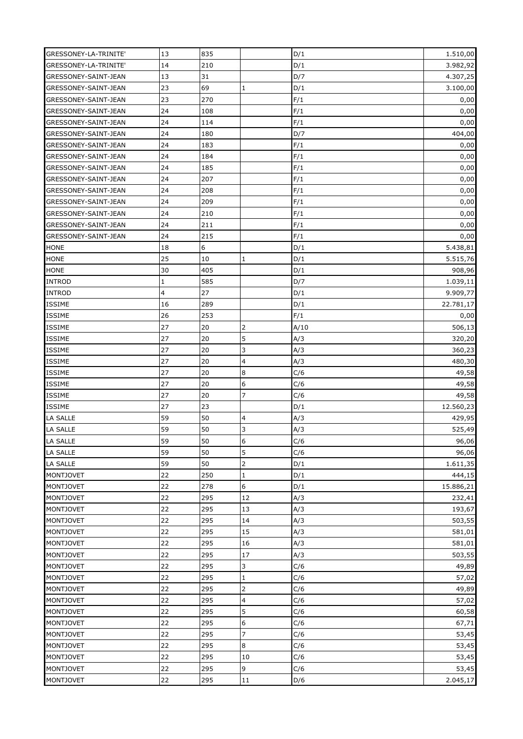| GRESSONEY-LA-TRINITE' | 13 | 835         |                  | D/1  | 1.510,00  |
|-----------------------|----|-------------|------------------|------|-----------|
| GRESSONEY-LA-TRINITE' | 14 | 210         |                  | D/1  | 3.982,92  |
| GRESSONEY-SAINT-JEAN  | 13 | 31          |                  | D/7  | 4.307,25  |
| GRESSONEY-SAINT-JEAN  | 23 | 69          | $\mathbf{1}$     | D/1  | 3.100,00  |
| GRESSONEY-SAINT-JEAN  | 23 | 270         |                  | F/1  | 0,00      |
| GRESSONEY-SAINT-JEAN  | 24 | 108         |                  | F/1  | 0,00      |
| GRESSONEY-SAINT-JEAN  | 24 | 114         |                  | F/1  | 0,00      |
| GRESSONEY-SAINT-JEAN  | 24 | 180         |                  | D/7  | 404,00    |
| GRESSONEY-SAINT-JEAN  | 24 | 183         |                  | F/1  | 0,00      |
| GRESSONEY-SAINT-JEAN  | 24 | 184         |                  | F/1  | 0,00      |
| GRESSONEY-SAINT-JEAN  | 24 | 185         |                  | F/1  | 0,00      |
|                       | 24 | 207         |                  | F/1  | 0,00      |
| GRESSONEY-SAINT-JEAN  |    |             |                  |      |           |
| GRESSONEY-SAINT-JEAN  | 24 | 208         |                  | F/1  | 0,00      |
| GRESSONEY-SAINT-JEAN  | 24 | 209         |                  | F/1  | 0,00      |
| GRESSONEY-SAINT-JEAN  | 24 | 210         |                  | F/1  | 0,00      |
| GRESSONEY-SAINT-JEAN  | 24 | 211         |                  | F/1  | 0,00      |
| GRESSONEY-SAINT-JEAN  | 24 | 215         |                  | F/1  | 0,00      |
| <b>HONE</b>           | 18 | $\mathbf 6$ |                  | D/1  | 5.438,81  |
| <b>HONE</b>           | 25 | 10          | $\mathbf{1}$     | D/1  | 5.515,76  |
| <b>HONE</b>           | 30 | 405         |                  | D/1  | 908,96    |
| <b>INTROD</b>         | 1  | 585         |                  | D/7  | 1.039,11  |
| <b>INTROD</b>         | 4  | 27          |                  | D/1  | 9.909,77  |
| <b>ISSIME</b>         | 16 | 289         |                  | D/1  | 22.781,17 |
| <b>ISSIME</b>         | 26 | 253         |                  | F/1  | 0,00      |
| <b>ISSIME</b>         | 27 | 20          | $\overline{2}$   | A/10 | 506,13    |
| <b>ISSIME</b>         | 27 | 20          | 5                | A/3  | 320,20    |
| <b>ISSIME</b>         | 27 | 20          | 3                | A/3  | 360,23    |
| ISSIME                | 27 | 20          | 4                | A/3  | 480,30    |
| <b>ISSIME</b>         | 27 | 20          | $\boldsymbol{8}$ | C/6  | 49,58     |
| ISSIME                | 27 | 20          | 6                | C/6  | 49,58     |
| <b>ISSIME</b>         | 27 | 20          | $\overline{7}$   | C/6  | 49,58     |
| ISSIME                | 27 | 23          |                  | D/1  | 12.560,23 |
| <b>LA SALLE</b>       | 59 | 50          | 4                | A/3  | 429,95    |
| <b>LA SALLE</b>       | 59 | 50          | 3                | A/3  | 525,49    |
| LA SALLE              | 59 | 50          | 6                | C/6  | 96,06     |
| <b>LA SALLE</b>       | 59 | 50          | 5                | C/6  | 96,06     |
| <b>LA SALLE</b>       | 59 | 50          | $\overline{2}$   | D/1  | 1.611,35  |
| <b>MONTJOVET</b>      | 22 | 250         | $\mathbf 1$      | D/1  | 444,15    |
| <b>MONTJOVET</b>      | 22 | 278         | 6                | D/1  | 15.886,21 |
| <b>MONTJOVET</b>      | 22 | 295         | 12               | A/3  | 232,41    |
| <b>MONTJOVET</b>      | 22 | 295         | 13               | A/3  | 193,67    |
| <b>MONTJOVET</b>      | 22 | 295         | 14               | A/3  | 503,55    |
| <b>MONTJOVET</b>      | 22 | 295         | 15               | A/3  | 581,01    |
| <b>MONTJOVET</b>      | 22 | 295         | 16               | A/3  | 581,01    |
|                       | 22 | 295         | 17               | A/3  |           |
| <b>MONTJOVET</b>      | 22 | 295         | $\overline{3}$   | C/6  | 503,55    |
| <b>MONTJOVET</b>      |    |             |                  |      | 49,89     |
| <b>MONTJOVET</b>      | 22 | 295         | $\mathbf{1}$     | C/6  | 57,02     |
| <b>MONTJOVET</b>      | 22 | 295         | $\overline{2}$   | C/6  | 49,89     |
| <b>MONTJOVET</b>      | 22 | 295         | 4                | C/6  | 57,02     |
| <b>MONTJOVET</b>      | 22 | 295         | 5                | C/6  | 60,58     |
| <b>MONTJOVET</b>      | 22 | 295         | 6                | C/6  | 67,71     |
| <b>MONTJOVET</b>      | 22 | 295         | $\overline{7}$   | C/6  | 53,45     |
| <b>MONTJOVET</b>      | 22 | 295         | 8                | C/6  | 53,45     |
| <b>MONTJOVET</b>      | 22 | 295         | 10               | C/6  | 53,45     |
| <b>MONTJOVET</b>      | 22 | 295         | 9                | C/6  | 53,45     |
| MONTJOVET             | 22 | 295         | 11               | D/6  | 2.045,17  |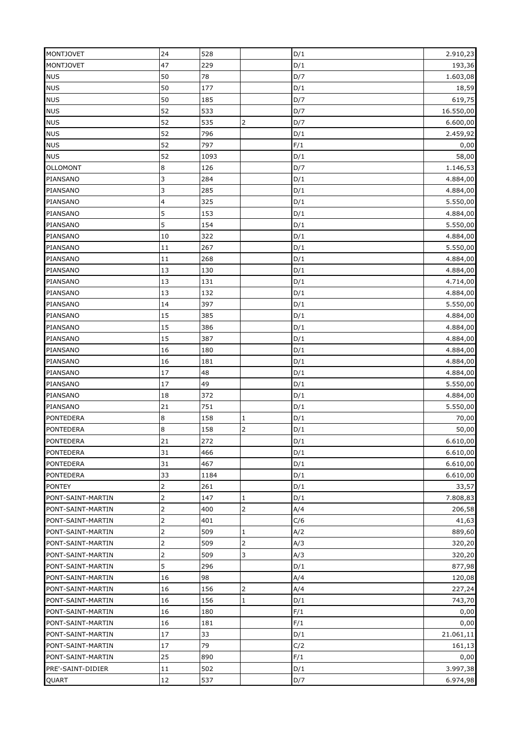| <b>MONTJOVET</b>  | 24               | 528  |                | D/1 | 2.910,23  |
|-------------------|------------------|------|----------------|-----|-----------|
| <b>MONTJOVET</b>  | 47               | 229  |                | D/1 | 193,36    |
| <b>NUS</b>        | 50               | 78   |                | D/7 | 1.603,08  |
| <b>NUS</b>        | 50               | 177  |                | D/1 | 18,59     |
| <b>NUS</b>        | 50               | 185  |                | D/7 | 619,75    |
| <b>NUS</b>        | 52               | 533  |                | D/7 | 16.550,00 |
| <b>NUS</b>        | 52               | 535  | $\overline{2}$ | D/7 | 6.600,00  |
| <b>NUS</b>        | 52               | 796  |                | D/1 | 2.459,92  |
| <b>NUS</b>        | 52               | 797  |                | F/1 | 0,00      |
| <b>NUS</b>        | 52               | 1093 |                | D/1 | 58,00     |
| <b>OLLOMONT</b>   | 8                | 126  |                | D/7 | 1.146,53  |
| PIANSANO          | 3                | 284  |                | D/1 | 4.884,00  |
| PIANSANO          | 3                | 285  |                | D/1 | 4.884,00  |
| PIANSANO          | 4                | 325  |                | D/1 | 5.550,00  |
| PIANSANO          | 5                | 153  |                | D/1 | 4.884,00  |
| PIANSANO          | 5                | 154  |                | D/1 | 5.550,00  |
| PIANSANO          | 10               | 322  |                | D/1 | 4.884,00  |
| PIANSANO          | 11               | 267  |                | D/1 | 5.550,00  |
| PIANSANO          | 11               | 268  |                | D/1 | 4.884,00  |
| PIANSANO          | 13               | 130  |                | D/1 | 4.884,00  |
| PIANSANO          | 13               | 131  |                | D/1 | 4.714,00  |
| PIANSANO          | 13               | 132  |                | D/1 | 4.884,00  |
| PIANSANO          | 14               | 397  |                | D/1 | 5.550,00  |
| PIANSANO          | 15               | 385  |                | D/1 |           |
|                   |                  |      |                |     | 4.884,00  |
| PIANSANO          | 15               | 386  |                | D/1 | 4.884,00  |
| PIANSANO          | 15               | 387  |                | D/1 | 4.884,00  |
| PIANSANO          | 16               | 180  |                | D/1 | 4.884,00  |
| PIANSANO          | 16               | 181  |                | D/1 | 4.884,00  |
| PIANSANO          | 17               | 48   |                | D/1 | 4.884,00  |
| PIANSANO          | 17               | 49   |                | D/1 | 5.550,00  |
| PIANSANO          | 18               | 372  |                | D/1 | 4.884,00  |
| PIANSANO          | 21               | 751  |                | D/1 | 5.550,00  |
| <b>PONTEDERA</b>  | 8                | 158  | $\mathbf{1}$   | D/1 | 70,00     |
| <b>PONTEDERA</b>  | $\boldsymbol{8}$ | 158  | $\overline{2}$ | D/1 | 50,00     |
| <b>PONTEDERA</b>  | 21               | 272  |                | D/1 | 6.610,00  |
| <b>PONTEDERA</b>  | 31               | 466  |                | D/1 | 6.610,00  |
| <b>PONTEDERA</b>  | 31               | 467  |                | D/1 | 6.610,00  |
| <b>PONTEDERA</b>  | 33               | 1184 |                | D/1 | 6.610,00  |
| <b>PONTEY</b>     | 2                | 261  |                | D/1 | 33,57     |
| PONT-SAINT-MARTIN | 2                | 147  | $\mathbf{1}$   | D/1 | 7.808,83  |
| PONT-SAINT-MARTIN | $\overline{2}$   | 400  | $\overline{2}$ | A/4 | 206,58    |
| PONT-SAINT-MARTIN | 2                | 401  |                | C/6 | 41,63     |
| PONT-SAINT-MARTIN | 2                | 509  | $\mathbf{1}$   | A/2 | 889,60    |
| PONT-SAINT-MARTIN | 2                | 509  | $\overline{2}$ | A/3 | 320,20    |
| PONT-SAINT-MARTIN | $\overline{2}$   | 509  | 3              | A/3 | 320,20    |
| PONT-SAINT-MARTIN | 5                | 296  |                | D/1 | 877,98    |
| PONT-SAINT-MARTIN | 16               | 98   |                | A/4 | 120,08    |
| PONT-SAINT-MARTIN | 16               | 156  | $\overline{2}$ | A/4 | 227,24    |
| PONT-SAINT-MARTIN | 16               | 156  | $\mathbf{1}$   | D/1 | 743,70    |
| PONT-SAINT-MARTIN | 16               | 180  |                | F/1 | 0,00      |
| PONT-SAINT-MARTIN | 16               | 181  |                | F/1 | 0,00      |
| PONT-SAINT-MARTIN | 17               | 33   |                | D/1 | 21.061,11 |
| PONT-SAINT-MARTIN | 17               | 79   |                | C/2 | 161,13    |
| PONT-SAINT-MARTIN | 25               | 890  |                | F/1 | 0,00      |
| PRE'-SAINT-DIDIER | 11               | 502  |                | D/1 | 3.997,38  |
|                   | 12               |      |                |     |           |
| QUART             |                  | 537  |                | D/7 | 6.974,98  |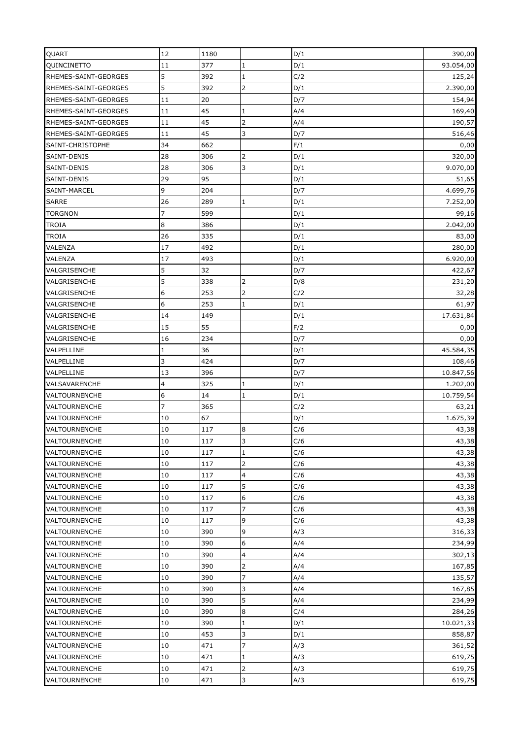| QUART                | 12             | 1180 |                  | D/1 | 390,00    |
|----------------------|----------------|------|------------------|-----|-----------|
| QUINCINETTO          | 11             | 377  | $\overline{1}$   | D/1 | 93.054,00 |
| RHEMES-SAINT-GEORGES | 5              | 392  | $\mathbf{1}$     | C/2 | 125,24    |
| RHEMES-SAINT-GEORGES | 5              | 392  | $\overline{2}$   | D/1 | 2.390,00  |
| RHEMES-SAINT-GEORGES | 11             | 20   |                  | D/7 | 154,94    |
| RHEMES-SAINT-GEORGES | 11             | 45   | $\mathbf{1}$     | A/4 | 169,40    |
| RHEMES-SAINT-GEORGES | 11             | 45   | $\overline{2}$   | A/4 | 190,57    |
| RHEMES-SAINT-GEORGES | 11             | 45   | 3                | D/7 | 516,46    |
| SAINT-CHRISTOPHE     | 34             | 662  |                  | F/1 | 0,00      |
| SAINT-DENIS          | 28             | 306  | $\overline{2}$   | D/1 | 320,00    |
| SAINT-DENIS          | 28             | 306  | 3                | D/1 | 9.070,00  |
| SAINT-DENIS          | 29             | 95   |                  | D/1 | 51,65     |
| SAINT-MARCEL         | 9              | 204  |                  | D/7 | 4.699,76  |
| <b>SARRE</b>         | 26             | 289  | $\mathbf{1}$     | D/1 | 7.252,00  |
| <b>TORGNON</b>       | $\overline{7}$ | 599  |                  | D/1 | 99,16     |
| <b>TROIA</b>         | 8              | 386  |                  | D/1 | 2.042,00  |
| <b>TROIA</b>         | 26             | 335  |                  | D/1 | 83,00     |
| VALENZA              | 17             | 492  |                  | D/1 | 280,00    |
| VALENZA              | 17             | 493  |                  | D/1 | 6.920,00  |
| VALGRISENCHE         | 5              | 32   |                  | D/7 | 422,67    |
| VALGRISENCHE         | 5              | 338  | $\overline{2}$   | D/8 | 231,20    |
| VALGRISENCHE         | 6              | 253  | $\overline{2}$   | C/2 | 32,28     |
| VALGRISENCHE         | 6              | 253  | $\mathbf 1$      | D/1 | 61,97     |
| VALGRISENCHE         | 14             | 149  |                  | D/1 | 17.631,84 |
| VALGRISENCHE         | 15             | 55   |                  | F/2 | 0,00      |
| VALGRISENCHE         | 16             | 234  |                  | D/7 | 0,00      |
| VALPELLINE           | 1              | 36   |                  | D/1 | 45.584,35 |
| VALPELLINE           | 3              | 424  |                  | D/7 | 108,46    |
| VALPELLINE           | 13             | 396  |                  | D/7 | 10.847,56 |
| VALSAVARENCHE        | 4              | 325  | $\mathbf{1}$     | D/1 | 1.202,00  |
| VALTOURNENCHE        | 6              | 14   | $\mathbf{1}$     | D/1 | 10.759,54 |
| VALTOURNENCHE        | 7              | 365  |                  | C/2 | 63,21     |
| VALTOURNENCHE        | 10             | 67   |                  | D/1 | 1.675,39  |
| VALTOURNENCHE        | 10             | 117  | $\boldsymbol{8}$ | C/6 | 43,38     |
| VALTOURNENCHE        | $10\,$         | 117  | 3                | C/6 | 43,38     |
| <b>VALTOURNENCHE</b> | 10             | 117  | $\mathbf{1}$     | C/6 | 43,38     |
| VALTOURNENCHE        | 10             | 117  | $\overline{2}$   | C/6 | 43,38     |
| VALTOURNENCHE        | 10             | 117  | $\overline{a}$   | C/6 | 43,38     |
| <b>VALTOURNENCHE</b> | 10             | 117  | 5                | C/6 | 43,38     |
| <b>VALTOURNENCHE</b> | 10             | 117  | 6                | C/6 | 43,38     |
| VALTOURNENCHE        | 10             | 117  | $\overline{7}$   | C/6 | 43,38     |
| <b>VALTOURNENCHE</b> | 10             | 117  | 9                | C/6 | 43,38     |
| VALTOURNENCHE        | 10             | 390  | 9                | A/3 | 316,33    |
| VALTOURNENCHE        | 10             | 390  | 6                | A/4 | 234,99    |
| VALTOURNENCHE        | 10             | 390  | 4                | A/4 | 302,13    |
| <b>VALTOURNENCHE</b> | 10             | 390  | $\overline{2}$   | A/4 | 167,85    |
| VALTOURNENCHE        | 10             | 390  | 7                | A/4 | 135,57    |
| <b>VALTOURNENCHE</b> | 10             | 390  | 3                | A/4 | 167,85    |
| <b>VALTOURNENCHE</b> | 10             | 390  | 5                | A/4 | 234,99    |
| VALTOURNENCHE        | 10             | 390  | 8                | C/4 | 284,26    |
| VALTOURNENCHE        | 10             | 390  | $\mathbf 1$      | D/1 | 10.021,33 |
| VALTOURNENCHE        | 10             | 453  | 3                | D/1 | 858,87    |
| <b>VALTOURNENCHE</b> | 10             | 471  | $\overline{7}$   | A/3 | 361,52    |
| VALTOURNENCHE        | 10             | 471  | $\mathbf 1$      | A/3 | 619,75    |
| <b>VALTOURNENCHE</b> | 10             | 471  | $\overline{2}$   | A/3 |           |
| VALTOURNENCHE        | 10             |      | 3                |     | 619,75    |
|                      |                | 471  |                  | A/3 | 619,75    |